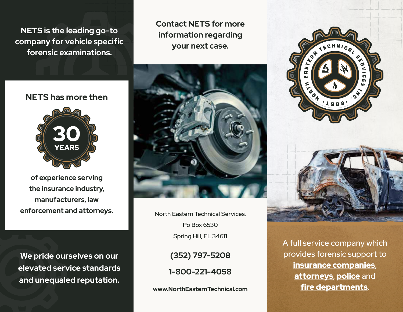**NETS is the leading go-to company for vehicle specific forensic examinations.**

**Contact NETS for more information regarding your next case.**





**of experience serving the insurance industry, manufacturers, law enforcement and attorneys.** 

**We pride ourselves on our elevated service standards and unequaled reputation.**



North Eastern Technical Services, Po Box 6530 Spring Hill, FL 34611

> **(352) 797-5208 1-800-221-4058**

**www.NorthEasternTechnical.com**





A full service company which provides forensic support to insurance companies, attorneys, police and fire departments.